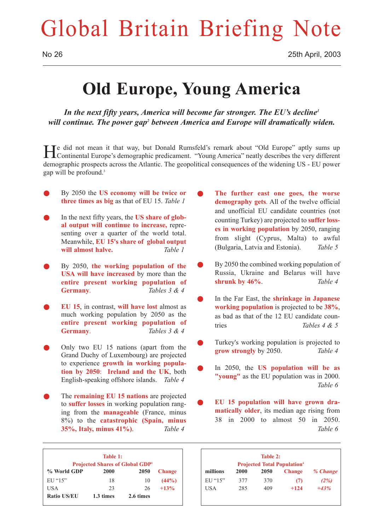## Global Britain Briefing Note

## **Old Europe, Young America**

*In the next fifty years, America will become far stronger. The EU's decline1 will continue. The power gap2 between America and Europe will dramatically widen.*

He did not mean it that way, but Donald Rumsfeld's remark about "Old Europe" aptly sums up Continental Europe's demographic predicament. "Young America" neatly describes the very different demographic prospects across the Atlantic. The geopolitical consequences of the widening US - EU power gap will be profound.3

- Q By 2050 the **US economy will be twice or three times as big** as that of EU 15. *Table 1*
- In the next fifty years, the **US share of global output will continue to increase,** representing over a quarter of the world total. Meanwhile, **EU 15's share of global output will almost halve.** *Table 1*
- Q By 2050, **the working population of the USA will have increased** by more than the **entire present working population of Germany**. *Tables 3 & 4*
- Q **EU 15**, in contrast, **will have lost** almost as much working population by 2050 as the **entire present working population of Germany**. *Tables 3 & 4*
- Only two EU 15 nations (apart from the Grand Duchy of Luxembourg) are projected to experience **growth in working population by 2050**: **Ireland and the UK**, both English-speaking offshore islands. *Table 4*
- The **remaining EU 15 nations** are projected to **suffer losses** in working population ranging from the **manageable** (France, minus 8%) to the **catastrophic (Spain, minus 35%, Italy, minus 41%)**. *Table 4*
- The further east one goes, the worse **demography gets**. All of the twelve official and unofficial EU candidate countries (not counting Turkey) are projected to **suffer losses in working population** by 2050, ranging from slight (Cyprus, Malta) to awful (Bulgaria, Latvia and Estonia). *Table 5*
- By 2050 the combined working population of Russia, Ukraine and Belarus will have **shrunk by 46%**. *Table 4*
- In the Far East, the **shrinkage in Japanese working population** is projected to be **38%**, as bad as that of the 12 EU candidate countries *Tables 4 & 5*
- Turkey's working population is projected to **grow strongly** by 2050. *Table 4*
- In 2050, the **US population will be as "young"** as the EU population was in 2000. *Table 6*
- EU 15 population will have grown dra**matically older**, its median age rising from 38 in 2000 to almost 50 in 2050. *Table 6*

| Table 1:<br><b>Projected Shares of Global GDP</b> |           |           |               |  |
|---------------------------------------------------|-----------|-----------|---------------|--|
| % World GDP                                       | 2000      | 2050      | <b>Change</b> |  |
| EUI''15"                                          | 18        | 10        | $(44\%)$      |  |
| USA                                               | 23        | 26        | $+13%$        |  |
| <b>Ratio US/EU</b>                                | 1.3 times | 2.6 times |               |  |

| Table 2:<br><b>Projected Total Population</b> <sup>4</sup> |      |             |               |          |
|------------------------------------------------------------|------|-------------|---------------|----------|
| millions                                                   | 2000 | <b>2050</b> | <b>Change</b> | % Change |
| EUI''15"                                                   | 377  | 370         | (7)           | (2%)     |
| USA                                                        | 285  | 409         | $+124$        | $+43%$   |